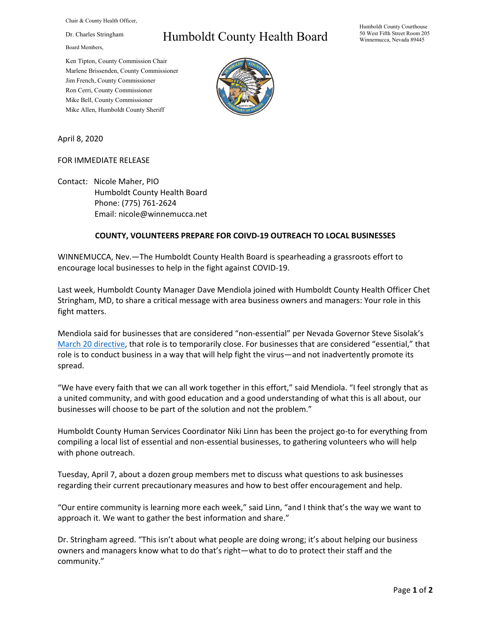Chair & County Health Officer,

Dr. Charles Stringham

Board Members,

## Humboldt County Health Board

Ken Tipton, County Commission Chair Marlene Brissenden, County Commissioner Jim French, County Commissioner Ron Cerri, County Commissioner Mike Bell, County Commissioner Mike Allen, Humboldt County Sheriff



April 8, 2020

## FOR IMMEDIATE RELEASE

Contact: Nicole Maher, PIO Humboldt County Health Board Phone: (775) 761-2624 Email: nicole@winnemucca.net

## **COUNTY, VOLUNTEERS PREPARE FOR COIVD-19 OUTREACH TO LOCAL BUSINESSES**

WINNEMUCCA, Nev.—The Humboldt County Health Board is spearheading a grassroots effort to encourage local businesses to help in the fight against COVID-19.

Last week, Humboldt County Manager Dave Mendiola joined with Humboldt County Health Officer Chet Stringham, MD, to share a critical message with area business owners and managers: Your role in this fight matters.

Mendiola said for businesses that are considered "non-essential" per Nevada Governor Steve Sisolak's [March 20 directive,](http://gov.nv.gov/News/Emergency_Orders/2020/2020-03-20_-_COVID-19_Declaration_of_Emergency_Directive_003/) that role is to temporarily close. For businesses that are considered "essential," that role is to conduct business in a way that will help fight the virus—and not inadvertently promote its spread.

"We have every faith that we can all work together in this effort," said Mendiola. "I feel strongly that as a united community, and with good education and a good understanding of what this is all about, our businesses will choose to be part of the solution and not the problem."

Humboldt County Human Services Coordinator Niki Linn has been the project go-to for everything from compiling a local list of essential and non-essential businesses, to gathering volunteers who will help with phone outreach.

Tuesday, April 7, about a dozen group members met to discuss what questions to ask businesses regarding their current precautionary measures and how to best offer encouragement and help.

"Our entire community is learning more each week," said Linn, "and I think that's the way we want to approach it. We want to gather the best information and share."

Dr. Stringham agreed. "This isn't about what people are doing wrong; it's about helping our business owners and managers know what to do that's right—what to do to protect their staff and the community."